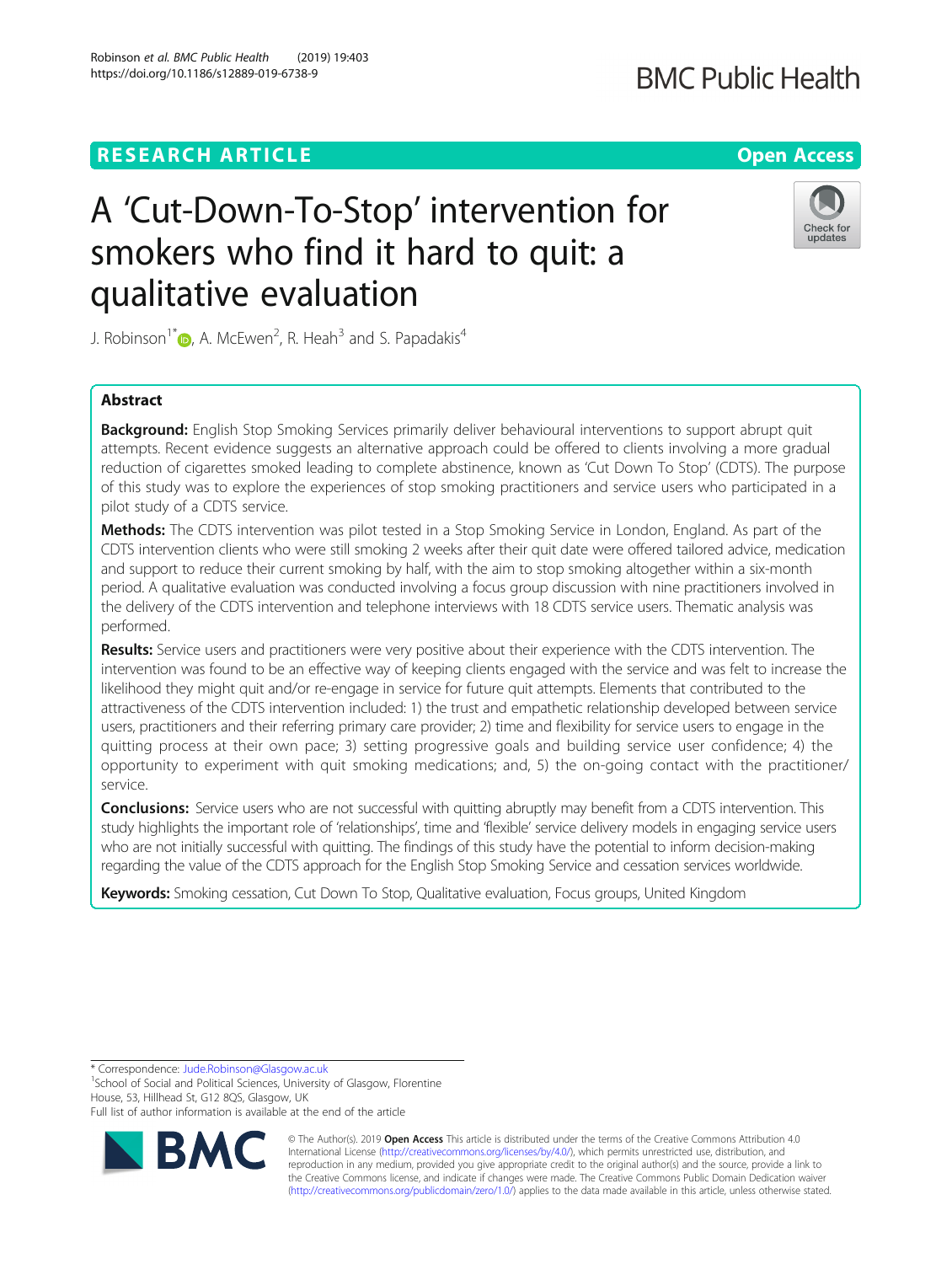# **RESEARCH ARTICLE Example 2014 12:30 The Contract of Contract ACCESS**

# A 'Cut-Down-To-Stop' intervention for smokers who find it hard to quit: a qualitative evaluation

J. Robinson<sup>1\*</sup>  $\textsf{D}$ [,](http://orcid.org/0000-0001-5491-4893) A. McEwen<sup>2</sup>, R. Heah<sup>3</sup> and S. Papadakis<sup>4</sup>

# Abstract

Background: English Stop Smoking Services primarily deliver behavioural interventions to support abrupt quit attempts. Recent evidence suggests an alternative approach could be offered to clients involving a more gradual reduction of cigarettes smoked leading to complete abstinence, known as 'Cut Down To Stop' (CDTS). The purpose of this study was to explore the experiences of stop smoking practitioners and service users who participated in a pilot study of a CDTS service.

Methods: The CDTS intervention was pilot tested in a Stop Smoking Service in London, England. As part of the CDTS intervention clients who were still smoking 2 weeks after their quit date were offered tailored advice, medication and support to reduce their current smoking by half, with the aim to stop smoking altogether within a six-month period. A qualitative evaluation was conducted involving a focus group discussion with nine practitioners involved in the delivery of the CDTS intervention and telephone interviews with 18 CDTS service users. Thematic analysis was performed.

Results: Service users and practitioners were very positive about their experience with the CDTS intervention. The intervention was found to be an effective way of keeping clients engaged with the service and was felt to increase the likelihood they might quit and/or re-engage in service for future quit attempts. Elements that contributed to the attractiveness of the CDTS intervention included: 1) the trust and empathetic relationship developed between service users, practitioners and their referring primary care provider; 2) time and flexibility for service users to engage in the quitting process at their own pace; 3) setting progressive goals and building service user confidence; 4) the opportunity to experiment with quit smoking medications; and, 5) the on-going contact with the practitioner/ service.

**Conclusions:** Service users who are not successful with quitting abruptly may benefit from a CDTS intervention. This study highlights the important role of 'relationships', time and 'flexible' service delivery models in engaging service users who are not initially successful with quitting. The findings of this study have the potential to inform decision-making regarding the value of the CDTS approach for the English Stop Smoking Service and cessation services worldwide.

Keywords: Smoking cessation, Cut Down To Stop, Qualitative evaluation, Focus groups, United Kingdom

\* Correspondence: [Jude.Robinson@Glasgow.ac.uk](mailto:Jude.Robinson@Glasgow.ac.uk) <sup>1</sup>

<sup>1</sup>School of Social and Political Sciences, University of Glasgow, Florentine House, 53, Hillhead St, G12 8QS, Glasgow, UK

Full list of author information is available at the end of the article



[\(http://creativecommons.org/publicdomain/zero/1.0/](http://creativecommons.org/publicdomain/zero/1.0/)) applies to the data made available in this article, unless otherwise stated.

Robinson et al. BMC Public Health (2019) 19:403 https://doi.org/10.1186/s12889-019-6738-9



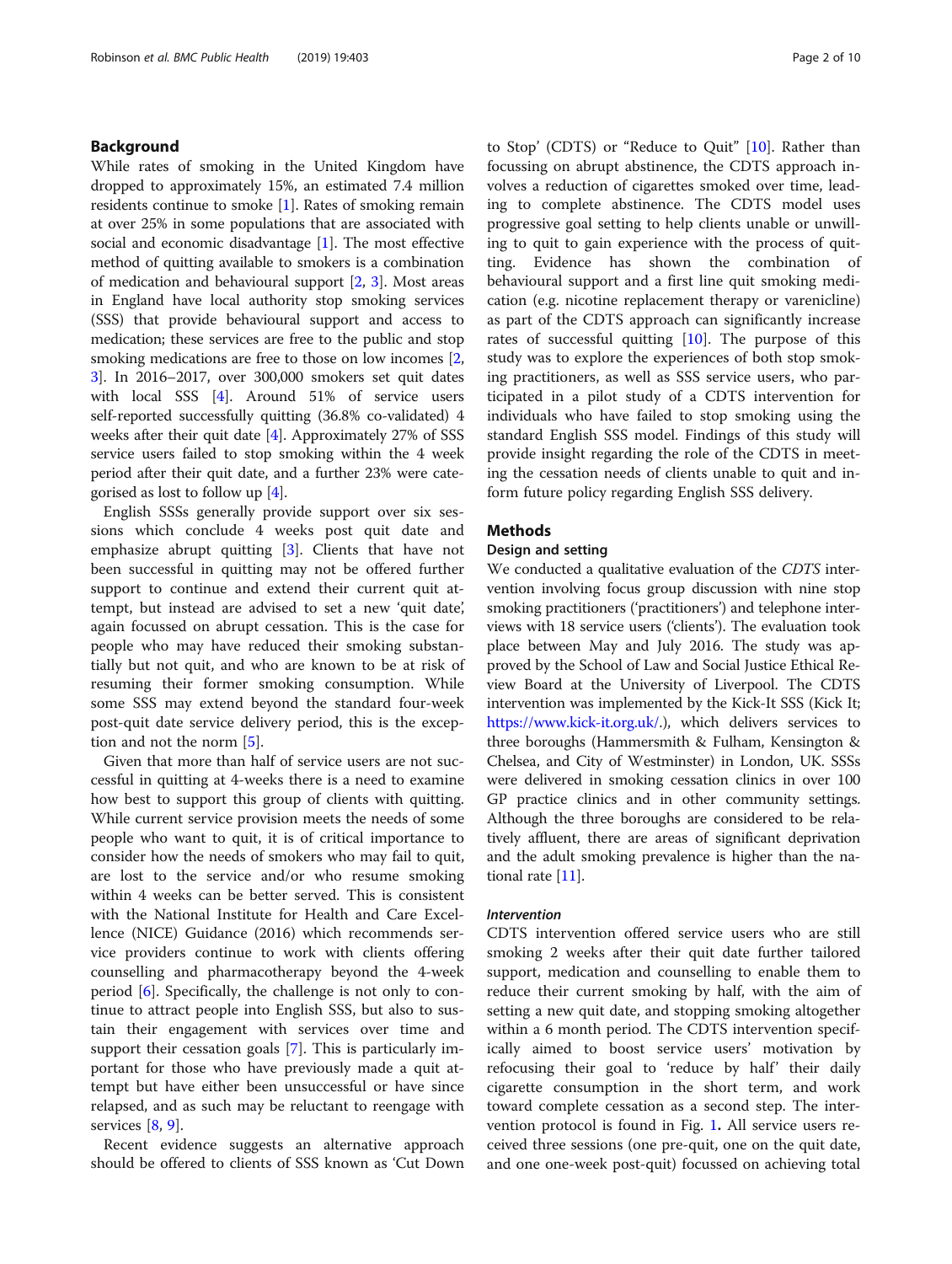# Background

While rates of smoking in the United Kingdom have dropped to approximately 15%, an estimated 7.4 million residents continue to smoke [[1\]](#page-9-0). Rates of smoking remain at over 25% in some populations that are associated with social and economic disadvantage [\[1\]](#page-9-0). The most effective method of quitting available to smokers is a combination of medication and behavioural support [[2,](#page-9-0) [3](#page-9-0)]. Most areas in England have local authority stop smoking services (SSS) that provide behavioural support and access to medication; these services are free to the public and stop smoking medications are free to those on low incomes [[2](#page-9-0), [3\]](#page-9-0). In 2016–2017, over 300,000 smokers set quit dates with local SSS [[4](#page-9-0)]. Around 51% of service users self-reported successfully quitting (36.8% co-validated) 4 weeks after their quit date [\[4](#page-9-0)]. Approximately 27% of SSS service users failed to stop smoking within the 4 week period after their quit date, and a further 23% were categorised as lost to follow up [[4\]](#page-9-0).

English SSSs generally provide support over six sessions which conclude 4 weeks post quit date and emphasize abrupt quitting [\[3](#page-9-0)]. Clients that have not been successful in quitting may not be offered further support to continue and extend their current quit attempt, but instead are advised to set a new 'quit date', again focussed on abrupt cessation. This is the case for people who may have reduced their smoking substantially but not quit, and who are known to be at risk of resuming their former smoking consumption. While some SSS may extend beyond the standard four-week post-quit date service delivery period, this is the exception and not the norm [[5\]](#page-9-0).

Given that more than half of service users are not successful in quitting at 4-weeks there is a need to examine how best to support this group of clients with quitting. While current service provision meets the needs of some people who want to quit, it is of critical importance to consider how the needs of smokers who may fail to quit, are lost to the service and/or who resume smoking within 4 weeks can be better served. This is consistent with the National Institute for Health and Care Excellence (NICE) Guidance (2016) which recommends service providers continue to work with clients offering counselling and pharmacotherapy beyond the 4-week period [[6](#page-9-0)]. Specifically, the challenge is not only to continue to attract people into English SSS, but also to sustain their engagement with services over time and support their cessation goals [[7\]](#page-9-0). This is particularly important for those who have previously made a quit attempt but have either been unsuccessful or have since relapsed, and as such may be reluctant to reengage with services [[8](#page-9-0), [9\]](#page-9-0).

Recent evidence suggests an alternative approach should be offered to clients of SSS known as 'Cut Down to Stop' (CDTS) or "Reduce to Quit" [[10\]](#page-9-0). Rather than focussing on abrupt abstinence, the CDTS approach involves a reduction of cigarettes smoked over time, leading to complete abstinence. The CDTS model uses progressive goal setting to help clients unable or unwilling to quit to gain experience with the process of quitting. Evidence has shown the combination of behavioural support and a first line quit smoking medication (e.g. nicotine replacement therapy or varenicline) as part of the CDTS approach can significantly increase rates of successful quitting [[10\]](#page-9-0). The purpose of this study was to explore the experiences of both stop smoking practitioners, as well as SSS service users, who participated in a pilot study of a CDTS intervention for individuals who have failed to stop smoking using the standard English SSS model. Findings of this study will provide insight regarding the role of the CDTS in meeting the cessation needs of clients unable to quit and inform future policy regarding English SSS delivery.

# Methods

# Design and setting

We conducted a qualitative evaluation of the CDTS intervention involving focus group discussion with nine stop smoking practitioners ('practitioners') and telephone interviews with 18 service users ('clients'). The evaluation took place between May and July 2016. The study was approved by the School of Law and Social Justice Ethical Review Board at the University of Liverpool. The CDTS intervention was implemented by the Kick-It SSS (Kick It; [https://www.kick-it.org.uk/.](https://www.kick-it.org.uk/)), which delivers services to three boroughs (Hammersmith & Fulham, Kensington & Chelsea, and City of Westminster) in London, UK. SSSs were delivered in smoking cessation clinics in over 100 GP practice clinics and in other community settings. Although the three boroughs are considered to be relatively affluent, there are areas of significant deprivation and the adult smoking prevalence is higher than the national rate [\[11\]](#page-9-0).

#### Intervention

CDTS intervention offered service users who are still smoking 2 weeks after their quit date further tailored support, medication and counselling to enable them to reduce their current smoking by half, with the aim of setting a new quit date, and stopping smoking altogether within a 6 month period. The CDTS intervention specifically aimed to boost service users' motivation by refocusing their goal to 'reduce by half' their daily cigarette consumption in the short term, and work toward complete cessation as a second step. The intervention protocol is found in Fig. [1](#page-2-0). All service users received three sessions (one pre-quit, one on the quit date, and one one-week post-quit) focussed on achieving total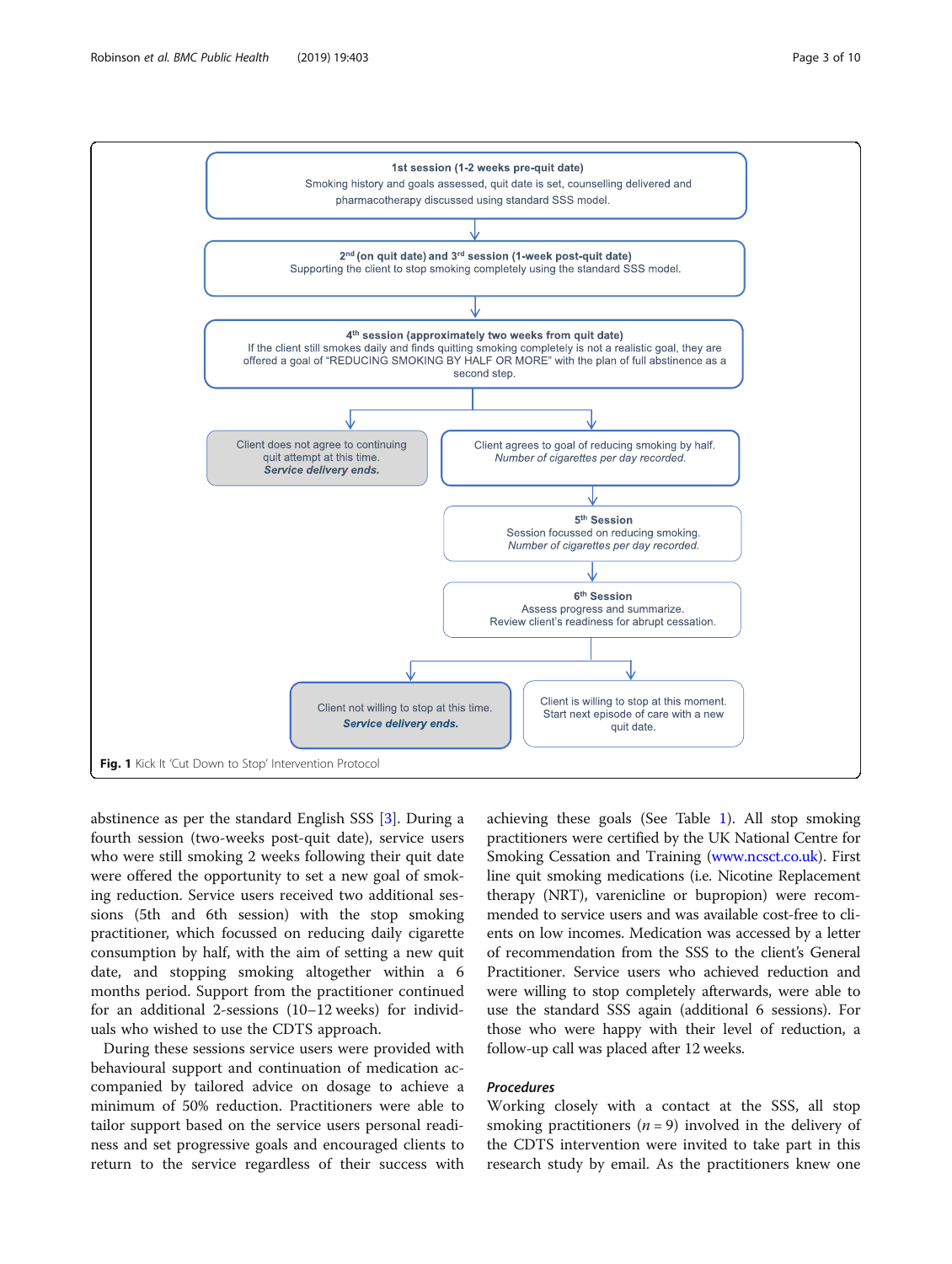<span id="page-2-0"></span>

abstinence as per the standard English SSS [\[3](#page-9-0)]. During a fourth session (two-weeks post-quit date), service users who were still smoking 2 weeks following their quit date were offered the opportunity to set a new goal of smoking reduction. Service users received two additional sessions (5th and 6th session) with the stop smoking practitioner, which focussed on reducing daily cigarette consumption by half, with the aim of setting a new quit date, and stopping smoking altogether within a 6 months period. Support from the practitioner continued for an additional 2-sessions (10–12 weeks) for individuals who wished to use the CDTS approach.

During these sessions service users were provided with behavioural support and continuation of medication accompanied by tailored advice on dosage to achieve a minimum of 50% reduction. Practitioners were able to tailor support based on the service users personal readiness and set progressive goals and encouraged clients to return to the service regardless of their success with achieving these goals (See Table [1\)](#page-3-0). All stop smoking practitioners were certified by the UK National Centre for Smoking Cessation and Training [\(www.ncsct.co.uk\)](http://www.ncsct.co.uk/). First line quit smoking medications (i.e. Nicotine Replacement therapy (NRT), varenicline or bupropion) were recommended to service users and was available cost-free to clients on low incomes. Medication was accessed by a letter of recommendation from the SSS to the client's General Practitioner. Service users who achieved reduction and were willing to stop completely afterwards, were able to use the standard SSS again (additional 6 sessions). For those who were happy with their level of reduction, a follow-up call was placed after 12 weeks.

# Procedures

Working closely with a contact at the SSS, all stop smoking practitioners ( $n = 9$ ) involved in the delivery of the CDTS intervention were invited to take part in this research study by email. As the practitioners knew one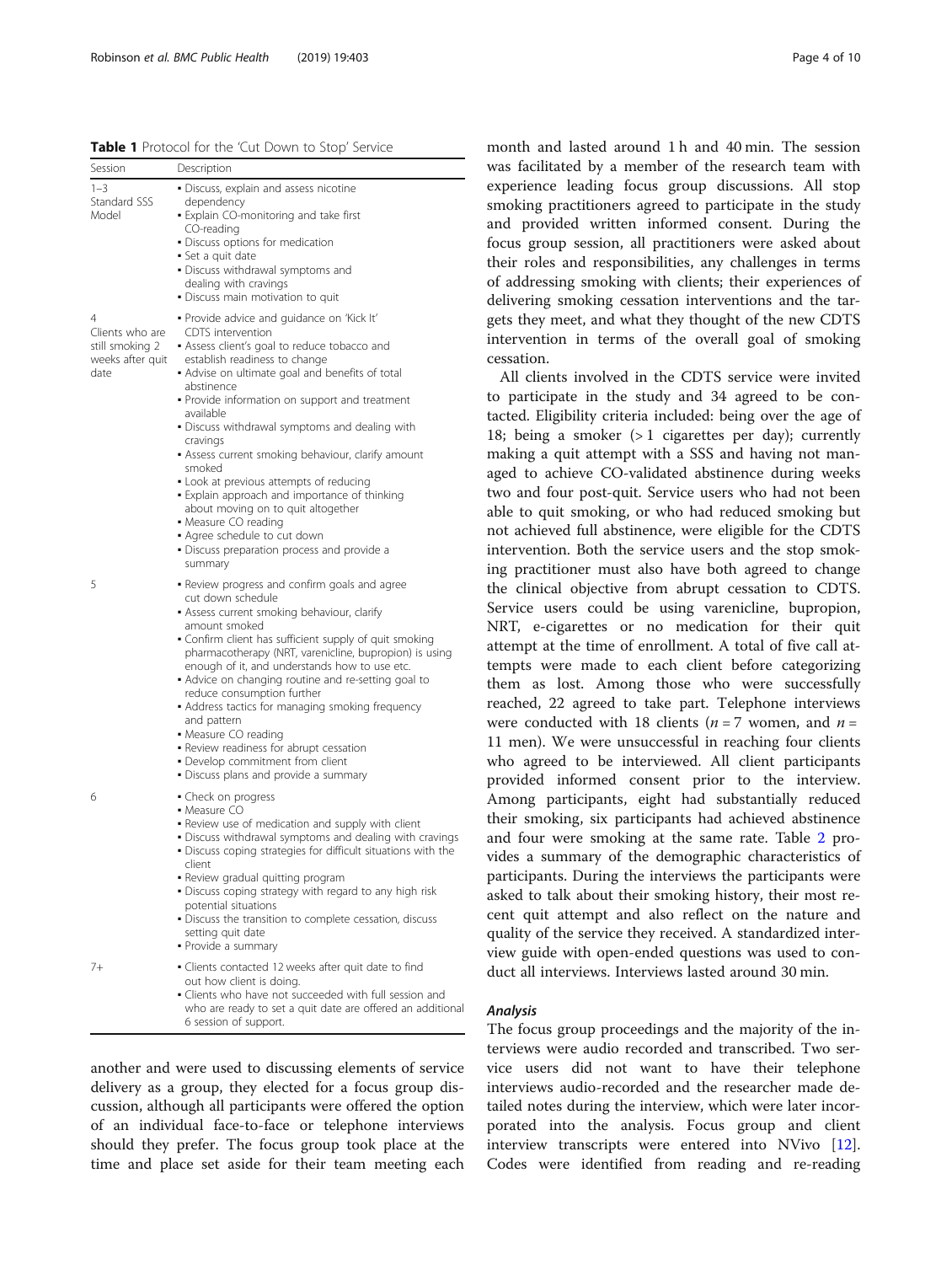<span id="page-3-0"></span>Table 1 Protocol for the 'Cut Down to Stop' Service

| Session                                                             | Description                                                                                                                                                                                                                                                                                                                                                                                                                                                                                                                                                                                                                                                      |
|---------------------------------------------------------------------|------------------------------------------------------------------------------------------------------------------------------------------------------------------------------------------------------------------------------------------------------------------------------------------------------------------------------------------------------------------------------------------------------------------------------------------------------------------------------------------------------------------------------------------------------------------------------------------------------------------------------------------------------------------|
| $1 - 3$<br>Standard SSS<br>Model                                    | • Discuss, explain and assess nicotine<br>dependency<br>. Explain CO-monitoring and take first<br>CO-reading<br>· Discuss options for medication<br>• Set a quit date<br>• Discuss withdrawal symptoms and<br>dealing with cravings<br>• Discuss main motivation to quit                                                                                                                                                                                                                                                                                                                                                                                         |
| 4<br>Clients who are<br>still smoking 2<br>weeks after quit<br>date | · Provide advice and guidance on 'Kick It'<br>CDTS intervention<br>• Assess client's goal to reduce tobacco and<br>establish readiness to change<br>• Advise on ultimate goal and benefits of total<br>abstinence<br>• Provide information on support and treatment<br>available<br>• Discuss withdrawal symptoms and dealing with<br>cravings<br>• Assess current smoking behaviour, clarify amount<br>smoked<br>• Look at previous attempts of reducing<br>• Explain approach and importance of thinking<br>about moving on to quit altogether<br>• Measure CO reading<br>Agree schedule to cut down<br>· Discuss preparation process and provide a<br>summary |
| 5                                                                   | . Review progress and confirm goals and agree<br>cut down schedule<br>Assess current smoking behaviour, clarify<br>amount smoked<br>• Confirm client has sufficient supply of quit smoking<br>pharmacotherapy (NRT, varenicline, bupropion) is using<br>enough of it, and understands how to use etc.<br>• Advice on changing routine and re-setting goal to<br>reduce consumption further<br>• Address tactics for managing smoking frequency<br>and pattern<br>• Measure CO reading<br>· Review readiness for abrupt cessation<br>• Develop commitment from client<br>• Discuss plans and provide a summary                                                    |
| 6                                                                   | • Check on progress<br>• Measure CO<br>. Review use of medication and supply with client<br>• Discuss withdrawal symptoms and dealing with cravings<br>• Discuss coping strategies for difficult situations with the<br>client<br>• Review gradual quitting program<br>• Discuss coping strategy with regard to any high risk<br>potential situations<br>· Discuss the transition to complete cessation, discuss<br>setting quit date<br>· Provide a summary                                                                                                                                                                                                     |
| 7+                                                                  | · Clients contacted 12 weeks after quit date to find<br>out how client is doing.<br>. Clients who have not succeeded with full session and<br>who are ready to set a quit date are offered an additional                                                                                                                                                                                                                                                                                                                                                                                                                                                         |

another and were used to discussing elements of service delivery as a group, they elected for a focus group discussion, although all participants were offered the option of an individual face-to-face or telephone interviews should they prefer. The focus group took place at the time and place set aside for their team meeting each

6 session of support.

month and lasted around 1 h and 40 min. The session was facilitated by a member of the research team with experience leading focus group discussions. All stop smoking practitioners agreed to participate in the study and provided written informed consent. During the focus group session, all practitioners were asked about their roles and responsibilities, any challenges in terms of addressing smoking with clients; their experiences of delivering smoking cessation interventions and the targets they meet, and what they thought of the new CDTS intervention in terms of the overall goal of smoking cessation.

All clients involved in the CDTS service were invited to participate in the study and 34 agreed to be contacted. Eligibility criteria included: being over the age of 18; being a smoker (> 1 cigarettes per day); currently making a quit attempt with a SSS and having not managed to achieve CO-validated abstinence during weeks two and four post-quit. Service users who had not been able to quit smoking, or who had reduced smoking but not achieved full abstinence, were eligible for the CDTS intervention. Both the service users and the stop smoking practitioner must also have both agreed to change the clinical objective from abrupt cessation to CDTS. Service users could be using varenicline, bupropion, NRT, e-cigarettes or no medication for their quit attempt at the time of enrollment. A total of five call attempts were made to each client before categorizing them as lost. Among those who were successfully reached, 22 agreed to take part. Telephone interviews were conducted with 18 clients ( $n = 7$  women, and  $n =$ 11 men). We were unsuccessful in reaching four clients who agreed to be interviewed. All client participants provided informed consent prior to the interview. Among participants, eight had substantially reduced their smoking, six participants had achieved abstinence and four were smoking at the same rate. Table [2](#page-4-0) provides a summary of the demographic characteristics of participants. During the interviews the participants were asked to talk about their smoking history, their most recent quit attempt and also reflect on the nature and quality of the service they received. A standardized interview guide with open-ended questions was used to conduct all interviews. Interviews lasted around 30 min.

# Analysis

The focus group proceedings and the majority of the interviews were audio recorded and transcribed. Two service users did not want to have their telephone interviews audio-recorded and the researcher made detailed notes during the interview, which were later incorporated into the analysis. Focus group and client interview transcripts were entered into NVivo [\[12](#page-9-0)]. Codes were identified from reading and re-reading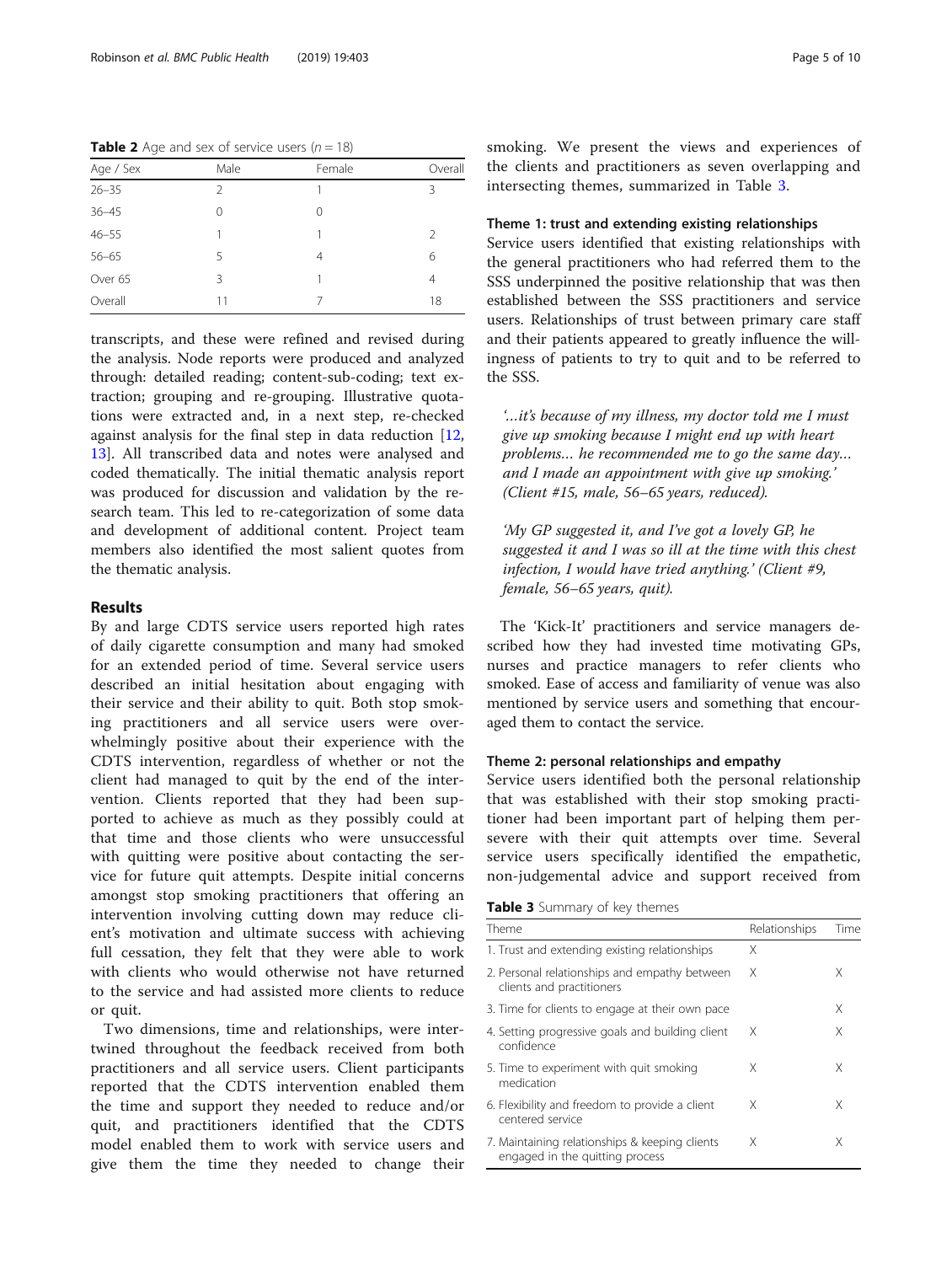<span id="page-4-0"></span>**Table 2** Age and sex of service users  $(n = 18)$ 

| Age / Sex | Male | Female   | Overall       |
|-----------|------|----------|---------------|
| $26 - 35$ | 2    | 1        | Β             |
| $36 - 45$ | 0    | $\Omega$ |               |
| $46 - 55$ |      | 1        | $\mathcal{L}$ |
| $56 - 65$ | 5    | 4        | 6             |
| Over 65   | 3    |          | 4             |
| Overall   | 11   |          | 18            |

transcripts, and these were refined and revised during the analysis. Node reports were produced and analyzed through: detailed reading; content-sub-coding; text extraction; grouping and re-grouping. Illustrative quotations were extracted and, in a next step, re-checked against analysis for the final step in data reduction [[12](#page-9-0), [13\]](#page-9-0). All transcribed data and notes were analysed and coded thematically. The initial thematic analysis report was produced for discussion and validation by the research team. This led to re-categorization of some data and development of additional content. Project team members also identified the most salient quotes from the thematic analysis.

## Results

By and large CDTS service users reported high rates of daily cigarette consumption and many had smoked for an extended period of time. Several service users described an initial hesitation about engaging with their service and their ability to quit. Both stop smoking practitioners and all service users were overwhelmingly positive about their experience with the CDTS intervention, regardless of whether or not the client had managed to quit by the end of the intervention. Clients reported that they had been supported to achieve as much as they possibly could at that time and those clients who were unsuccessful with quitting were positive about contacting the service for future quit attempts. Despite initial concerns amongst stop smoking practitioners that offering an intervention involving cutting down may reduce client's motivation and ultimate success with achieving full cessation, they felt that they were able to work with clients who would otherwise not have returned to the service and had assisted more clients to reduce or quit.

Two dimensions, time and relationships, were intertwined throughout the feedback received from both practitioners and all service users. Client participants reported that the CDTS intervention enabled them the time and support they needed to reduce and/or quit, and practitioners identified that the CDTS model enabled them to work with service users and give them the time they needed to change their smoking. We present the views and experiences of the clients and practitioners as seven overlapping and intersecting themes, summarized in Table 3.

# Theme 1: trust and extending existing relationships

Service users identified that existing relationships with the general practitioners who had referred them to the SSS underpinned the positive relationship that was then established between the SSS practitioners and service users. Relationships of trust between primary care staff and their patients appeared to greatly influence the willingness of patients to try to quit and to be referred to the SSS.

'…it's because of my illness, my doctor told me I must give up smoking because I might end up with heart problems… he recommended me to go the same day… and I made an appointment with give up smoking.' (Client #15, male, 56–65 years, reduced).

'My GP suggested it, and I've got a lovely GP, he suggested it and I was so ill at the time with this chest infection, I would have tried anything.' (Client #9, female, 56–65 years, quit).

The 'Kick-It' practitioners and service managers described how they had invested time motivating GPs, nurses and practice managers to refer clients who smoked. Ease of access and familiarity of venue was also mentioned by service users and something that encouraged them to contact the service.

#### Theme 2: personal relationships and empathy

Service users identified both the personal relationship that was established with their stop smoking practitioner had been important part of helping them persevere with their quit attempts over time. Several service users specifically identified the empathetic, non-judgemental advice and support received from

|  | Table 3 Summary of key themes |  |  |
|--|-------------------------------|--|--|
|--|-------------------------------|--|--|

| Theme                                                                             | Relationships | Time |
|-----------------------------------------------------------------------------------|---------------|------|
| 1. Trust and extending existing relationships                                     | X             |      |
| 2. Personal relationships and empathy between<br>clients and practitioners        | X             | X    |
| 3. Time for clients to engage at their own pace                                   |               | X    |
| 4. Setting progressive goals and building client<br>confidence                    | X             | Χ    |
| 5. Time to experiment with quit smoking<br>medication                             | Χ             | Χ    |
| 6. Flexibility and freedom to provide a client<br>centered service                | X             | X    |
| 7. Maintaining relationships & keeping clients<br>engaged in the quitting process | Χ             | X    |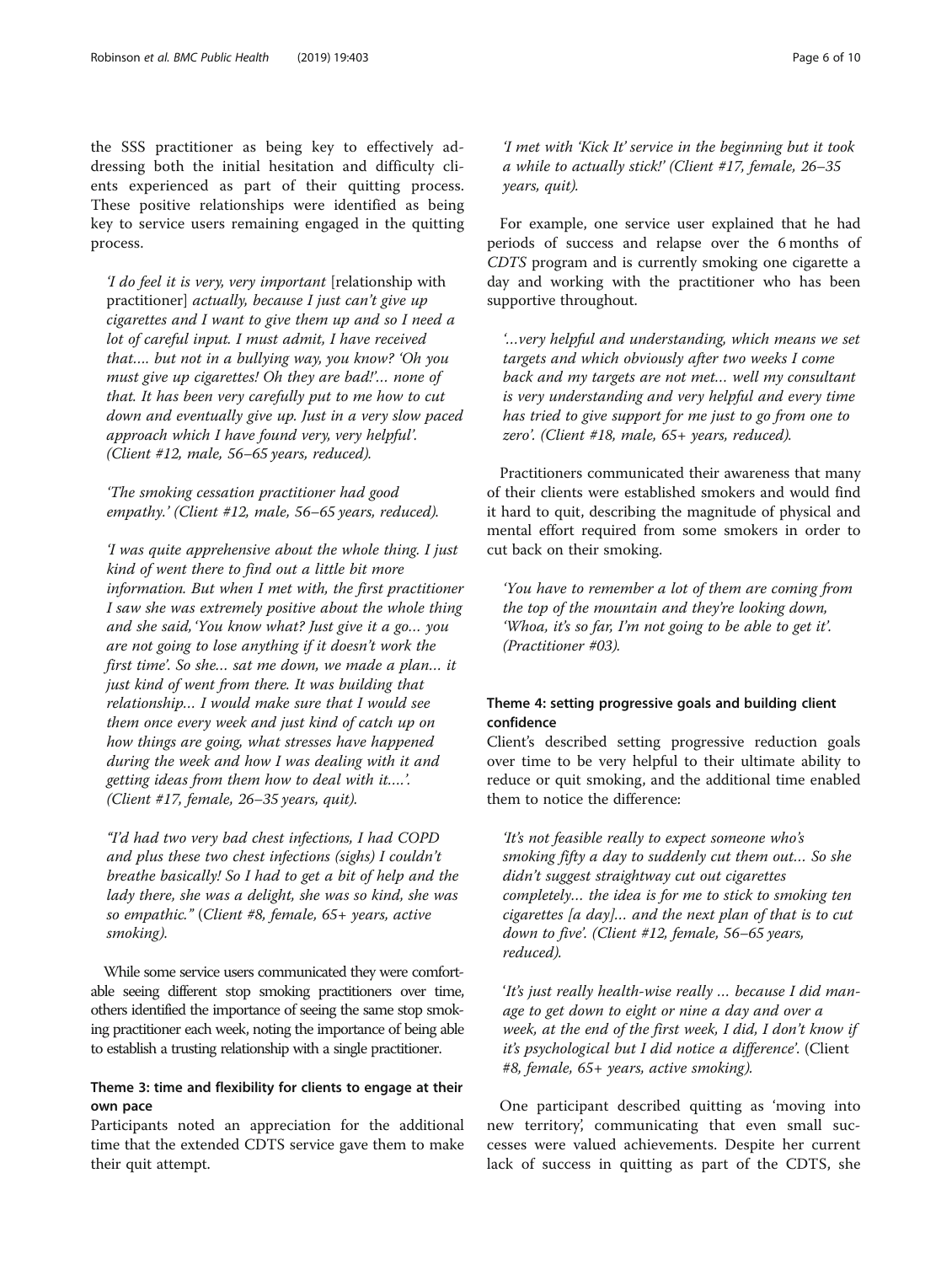the SSS practitioner as being key to effectively addressing both the initial hesitation and difficulty clients experienced as part of their quitting process. These positive relationships were identified as being key to service users remaining engaged in the quitting process.

'I do feel it is very, very important [relationship with practitioner] actually, because I just can't give up cigarettes and I want to give them up and so I need a lot of careful input. I must admit, I have received that…. but not in a bullying way, you know? 'Oh you must give up cigarettes! Oh they are bad!'… none of that. It has been very carefully put to me how to cut down and eventually give up. Just in a very slow paced approach which I have found very, very helpful'. (Client #12, male, 56–65 years, reduced).

'The smoking cessation practitioner had good empathy.' (Client #12, male, 56–65 years, reduced).

'I was quite apprehensive about the whole thing. I just kind of went there to find out a little bit more information. But when I met with, the first practitioner I saw she was extremely positive about the whole thing and she said, 'You know what? Just give it a go… you are not going to lose anything if it doesn't work the first time'. So she… sat me down, we made a plan… it just kind of went from there. It was building that relationship… I would make sure that I would see them once every week and just kind of catch up on how things are going, what stresses have happened during the week and how I was dealing with it and getting ideas from them how to deal with it….'. (Client #17, female, 26–35 years, quit).

"I'd had two very bad chest infections, I had COPD and plus these two chest infections (sighs) I couldn't breathe basically! So I had to get a bit of help and the lady there, she was a delight, she was so kind, she was so empathic." (Client #8, female, 65+ years, active smoking).

While some service users communicated they were comfortable seeing different stop smoking practitioners over time, others identified the importance of seeing the same stop smoking practitioner each week, noting the importance of being able to establish a trusting relationship with a single practitioner.

# Theme 3: time and flexibility for clients to engage at their own pace

Participants noted an appreciation for the additional time that the extended CDTS service gave them to make their quit attempt.

'I met with 'Kick It' service in the beginning but it took a while to actually stick!' (Client #17, female, 26–35 years, quit).

For example, one service user explained that he had periods of success and relapse over the 6 months of CDTS program and is currently smoking one cigarette a day and working with the practitioner who has been supportive throughout.

'…very helpful and understanding, which means we set targets and which obviously after two weeks I come back and my targets are not met… well my consultant is very understanding and very helpful and every time has tried to give support for me just to go from one to zero'. (Client #18, male, 65+ years, reduced).

Practitioners communicated their awareness that many of their clients were established smokers and would find it hard to quit, describing the magnitude of physical and mental effort required from some smokers in order to cut back on their smoking.

'You have to remember a lot of them are coming from the top of the mountain and they're looking down, 'Whoa, it's so far, I'm not going to be able to get it'. (Practitioner #03).

# Theme 4: setting progressive goals and building client confidence

Client's described setting progressive reduction goals over time to be very helpful to their ultimate ability to reduce or quit smoking, and the additional time enabled them to notice the difference:

'It's not feasible really to expect someone who's smoking fifty a day to suddenly cut them out… So she didn't suggest straightway cut out cigarettes completely… the idea is for me to stick to smoking ten cigarettes [a day]… and the next plan of that is to cut down to five'. (Client #12, female, 56–65 years, reduced).

'It's just really health-wise really … because I did manage to get down to eight or nine a day and over a week, at the end of the first week, I did, I don't know if it's psychological but I did notice a difference'. (Client #8, female, 65+ years, active smoking).

One participant described quitting as 'moving into new territory', communicating that even small successes were valued achievements. Despite her current lack of success in quitting as part of the CDTS, she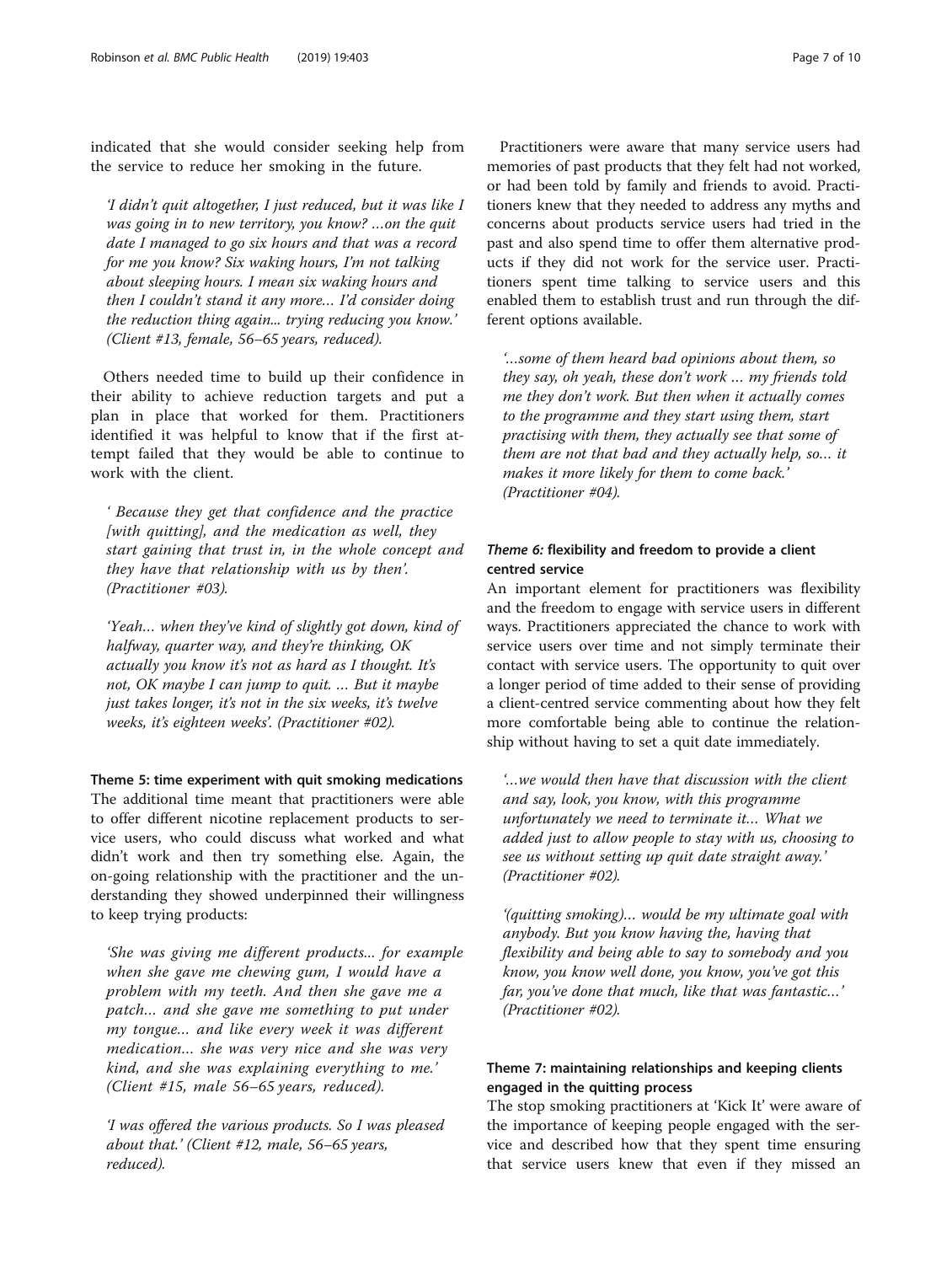indicated that she would consider seeking help from the service to reduce her smoking in the future.

'I didn't quit altogether, I just reduced, but it was like I was going in to new territory, you know? …on the quit date I managed to go six hours and that was a record for me you know? Six waking hours, I'm not talking about sleeping hours. I mean six waking hours and then I couldn't stand it any more… I'd consider doing the reduction thing again... trying reducing you know.' (Client #13, female, 56–65 years, reduced).

Others needed time to build up their confidence in their ability to achieve reduction targets and put a plan in place that worked for them. Practitioners identified it was helpful to know that if the first attempt failed that they would be able to continue to work with the client.

' Because they get that confidence and the practice [with quitting], and the medication as well, they start gaining that trust in, in the whole concept and they have that relationship with us by then'. (Practitioner #03).

'Yeah… when they've kind of slightly got down, kind of halfway, quarter way, and they're thinking, OK actually you know it's not as hard as I thought. It's not, OK maybe I can jump to quit. … But it maybe just takes longer, it's not in the six weeks, it's twelve weeks, it's eighteen weeks'. (Practitioner #02).

Theme 5: time experiment with quit smoking medications The additional time meant that practitioners were able to offer different nicotine replacement products to service users, who could discuss what worked and what didn't work and then try something else. Again, the on-going relationship with the practitioner and the understanding they showed underpinned their willingness to keep trying products:

'She was giving me different products... for example when she gave me chewing gum, I would have a problem with my teeth. And then she gave me a patch… and she gave me something to put under my tongue… and like every week it was different medication… she was very nice and she was very kind, and she was explaining everything to me.' (Client #15, male 56–65 years, reduced).

'I was offered the various products. So I was pleased about that.' (Client #12, male, 56–65 years, reduced).

Practitioners were aware that many service users had memories of past products that they felt had not worked, or had been told by family and friends to avoid. Practitioners knew that they needed to address any myths and concerns about products service users had tried in the past and also spend time to offer them alternative products if they did not work for the service user. Practitioners spent time talking to service users and this enabled them to establish trust and run through the different options available.

'…some of them heard bad opinions about them, so they say, oh yeah, these don't work … my friends told me they don't work. But then when it actually comes to the programme and they start using them, start practising with them, they actually see that some of them are not that bad and they actually help, so… it makes it more likely for them to come back.' (Practitioner #04).

# Theme 6: flexibility and freedom to provide a client centred service

An important element for practitioners was flexibility and the freedom to engage with service users in different ways. Practitioners appreciated the chance to work with service users over time and not simply terminate their contact with service users. The opportunity to quit over a longer period of time added to their sense of providing a client-centred service commenting about how they felt more comfortable being able to continue the relationship without having to set a quit date immediately.

'…we would then have that discussion with the client and say, look, you know, with this programme unfortunately we need to terminate it… What we added just to allow people to stay with us, choosing to see us without setting up quit date straight away.' (Practitioner #02).

'(quitting smoking)… would be my ultimate goal with anybody. But you know having the, having that flexibility and being able to say to somebody and you know, you know well done, you know, you've got this far, you've done that much, like that was fantastic…' (Practitioner #02).

# Theme 7: maintaining relationships and keeping clients engaged in the quitting process

The stop smoking practitioners at 'Kick It' were aware of the importance of keeping people engaged with the service and described how that they spent time ensuring that service users knew that even if they missed an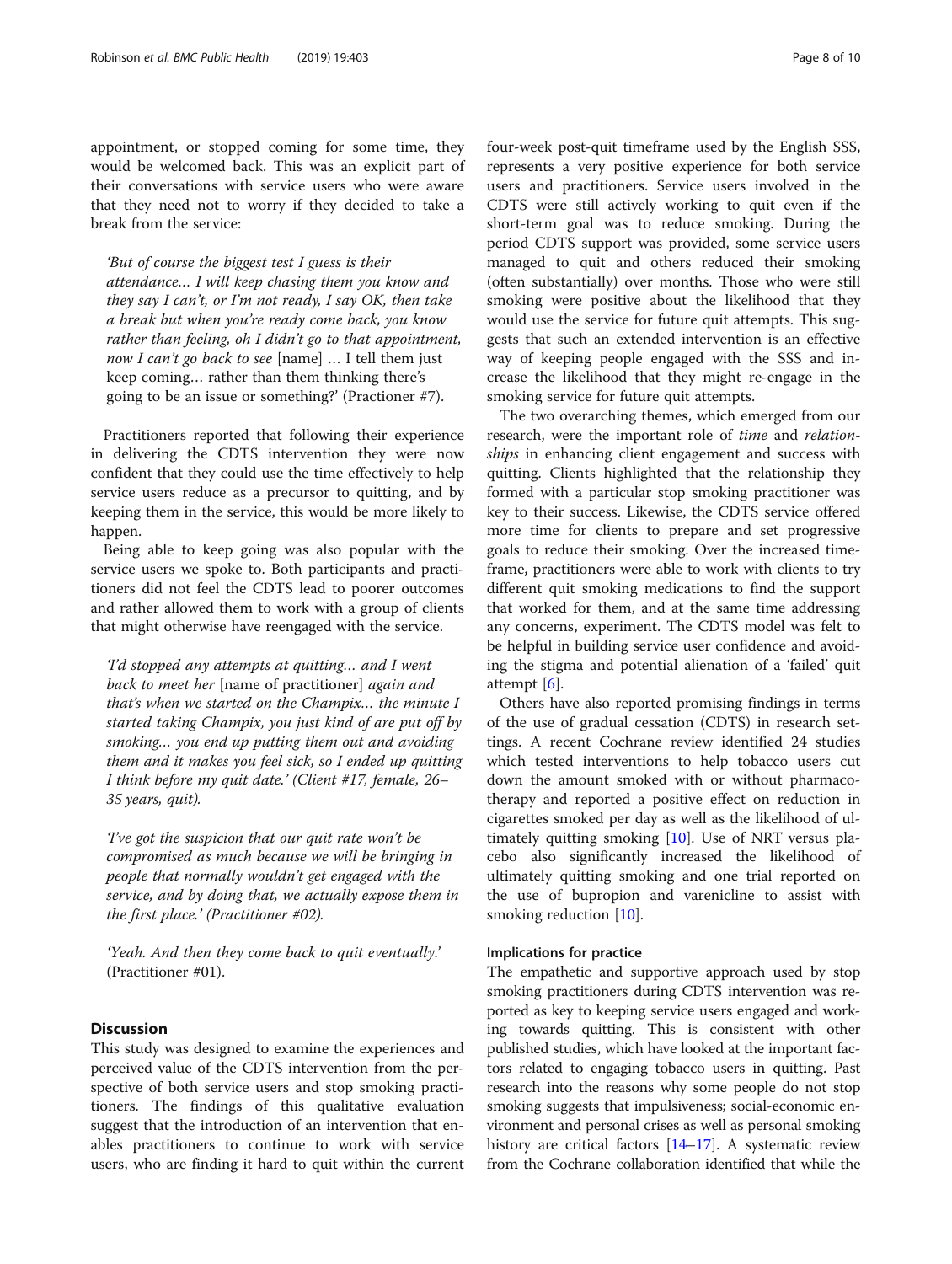appointment, or stopped coming for some time, they would be welcomed back. This was an explicit part of their conversations with service users who were aware that they need not to worry if they decided to take a break from the service:

'But of course the biggest test I guess is their attendance… I will keep chasing them you know and they say I can't, or I'm not ready, I say OK, then take a break but when you're ready come back, you know rather than feeling, oh I didn't go to that appointment, now I can't go back to see [name] ... I tell them just keep coming… rather than them thinking there's going to be an issue or something?' (Practioner #7).

Practitioners reported that following their experience in delivering the CDTS intervention they were now confident that they could use the time effectively to help service users reduce as a precursor to quitting, and by keeping them in the service, this would be more likely to happen.

Being able to keep going was also popular with the service users we spoke to. Both participants and practitioners did not feel the CDTS lead to poorer outcomes and rather allowed them to work with a group of clients that might otherwise have reengaged with the service.

'I'd stopped any attempts at quitting… and I went back to meet her [name of practitioner] again and that's when we started on the Champix… the minute I started taking Champix, you just kind of are put off by smoking… you end up putting them out and avoiding them and it makes you feel sick, so I ended up quitting I think before my quit date.' (Client #17, female, 26– 35 years, quit).

'I've got the suspicion that our quit rate won't be compromised as much because we will be bringing in people that normally wouldn't get engaged with the service, and by doing that, we actually expose them in the first place.' (Practitioner #02).

'Yeah. And then they come back to quit eventually.' (Practitioner #01).

## **Discussion**

This study was designed to examine the experiences and perceived value of the CDTS intervention from the perspective of both service users and stop smoking practitioners. The findings of this qualitative evaluation suggest that the introduction of an intervention that enables practitioners to continue to work with service users, who are finding it hard to quit within the current four-week post-quit timeframe used by the English SSS, represents a very positive experience for both service users and practitioners. Service users involved in the CDTS were still actively working to quit even if the short-term goal was to reduce smoking. During the period CDTS support was provided, some service users managed to quit and others reduced their smoking (often substantially) over months. Those who were still smoking were positive about the likelihood that they would use the service for future quit attempts. This suggests that such an extended intervention is an effective way of keeping people engaged with the SSS and increase the likelihood that they might re-engage in the smoking service for future quit attempts.

The two overarching themes, which emerged from our research, were the important role of time and relationships in enhancing client engagement and success with quitting. Clients highlighted that the relationship they formed with a particular stop smoking practitioner was key to their success. Likewise, the CDTS service offered more time for clients to prepare and set progressive goals to reduce their smoking. Over the increased timeframe, practitioners were able to work with clients to try different quit smoking medications to find the support that worked for them, and at the same time addressing any concerns, experiment. The CDTS model was felt to be helpful in building service user confidence and avoiding the stigma and potential alienation of a 'failed' quit attempt [[6](#page-9-0)].

Others have also reported promising findings in terms of the use of gradual cessation (CDTS) in research settings. A recent Cochrane review identified 24 studies which tested interventions to help tobacco users cut down the amount smoked with or without pharmacotherapy and reported a positive effect on reduction in cigarettes smoked per day as well as the likelihood of ultimately quitting smoking [[10](#page-9-0)]. Use of NRT versus placebo also significantly increased the likelihood of ultimately quitting smoking and one trial reported on the use of bupropion and varenicline to assist with smoking reduction [[10\]](#page-9-0).

#### Implications for practice

The empathetic and supportive approach used by stop smoking practitioners during CDTS intervention was reported as key to keeping service users engaged and working towards quitting. This is consistent with other published studies, which have looked at the important factors related to engaging tobacco users in quitting. Past research into the reasons why some people do not stop smoking suggests that impulsiveness; social-economic environment and personal crises as well as personal smoking history are critical factors [\[14](#page-9-0)–[17](#page-9-0)]. A systematic review from the Cochrane collaboration identified that while the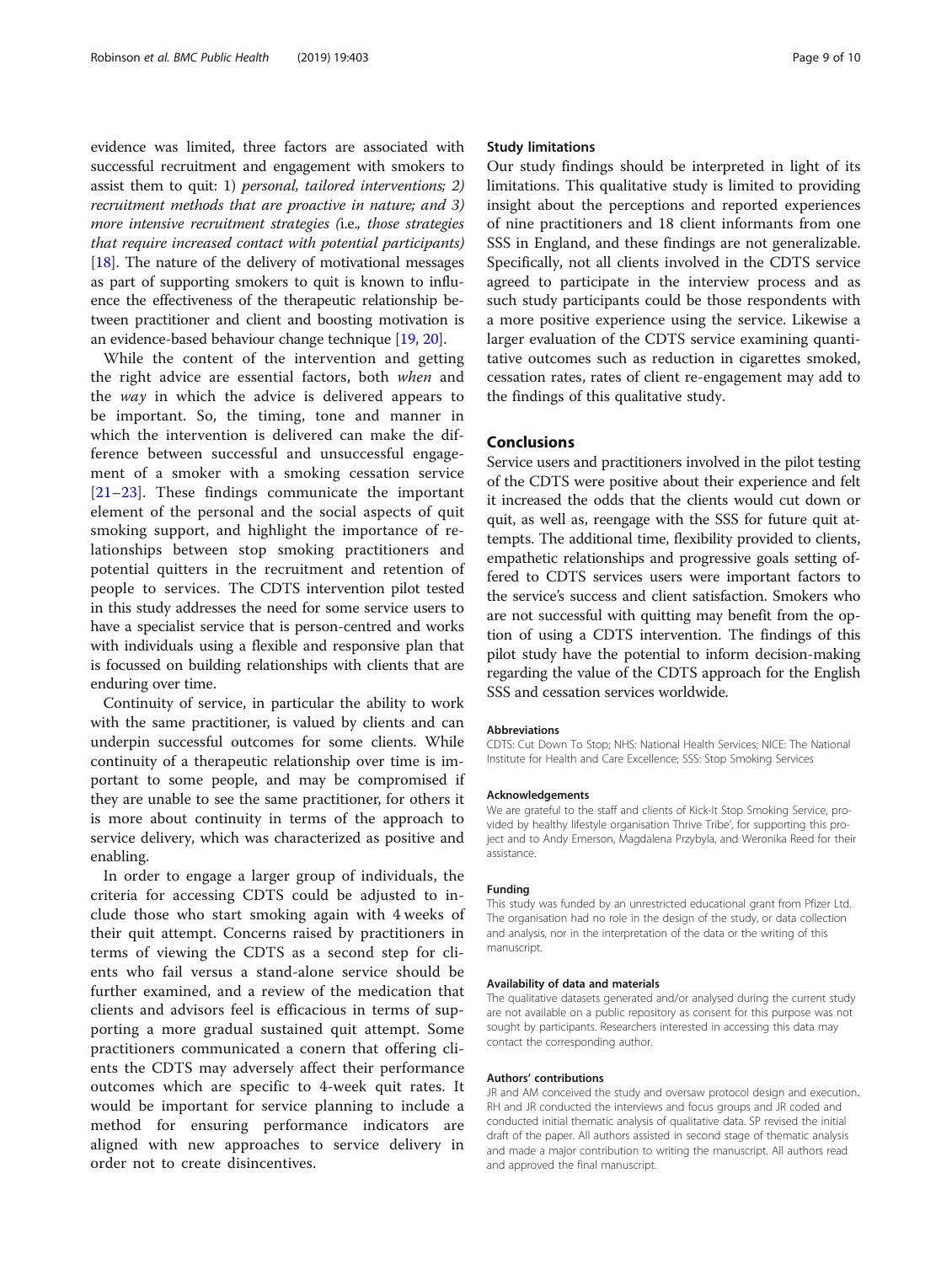evidence was limited, three factors are associated with successful recruitment and engagement with smokers to assist them to quit: 1) personal, tailored interventions; 2) recruitment methods that are proactive in nature; and 3) more intensive recruitment strategies (i.e., those strategies that require increased contact with potential participants) [[18](#page-9-0)]. The nature of the delivery of motivational messages as part of supporting smokers to quit is known to influence the effectiveness of the therapeutic relationship between practitioner and client and boosting motivation is an evidence-based behaviour change technique [\[19](#page-9-0), [20](#page-9-0)].

While the content of the intervention and getting the right advice are essential factors, both when and the way in which the advice is delivered appears to be important. So, the timing, tone and manner in which the intervention is delivered can make the difference between successful and unsuccessful engagement of a smoker with a smoking cessation service [[21](#page-9-0)–[23\]](#page-9-0). These findings communicate the important element of the personal and the social aspects of quit smoking support, and highlight the importance of relationships between stop smoking practitioners and potential quitters in the recruitment and retention of people to services. The CDTS intervention pilot tested in this study addresses the need for some service users to have a specialist service that is person-centred and works with individuals using a flexible and responsive plan that is focussed on building relationships with clients that are enduring over time.

Continuity of service, in particular the ability to work with the same practitioner, is valued by clients and can underpin successful outcomes for some clients. While continuity of a therapeutic relationship over time is important to some people, and may be compromised if they are unable to see the same practitioner, for others it is more about continuity in terms of the approach to service delivery, which was characterized as positive and enabling.

In order to engage a larger group of individuals, the criteria for accessing CDTS could be adjusted to include those who start smoking again with 4 weeks of their quit attempt. Concerns raised by practitioners in terms of viewing the CDTS as a second step for clients who fail versus a stand-alone service should be further examined, and a review of the medication that clients and advisors feel is efficacious in terms of supporting a more gradual sustained quit attempt. Some practitioners communicated a conern that offering clients the CDTS may adversely affect their performance outcomes which are specific to 4-week quit rates. It would be important for service planning to include a method for ensuring performance indicators are aligned with new approaches to service delivery in order not to create disincentives.

## Study limitations

Our study findings should be interpreted in light of its limitations. This qualitative study is limited to providing insight about the perceptions and reported experiences of nine practitioners and 18 client informants from one SSS in England, and these findings are not generalizable. Specifically, not all clients involved in the CDTS service agreed to participate in the interview process and as such study participants could be those respondents with a more positive experience using the service. Likewise a larger evaluation of the CDTS service examining quantitative outcomes such as reduction in cigarettes smoked, cessation rates, rates of client re-engagement may add to the findings of this qualitative study.

# Conclusions

Service users and practitioners involved in the pilot testing of the CDTS were positive about their experience and felt it increased the odds that the clients would cut down or quit, as well as, reengage with the SSS for future quit attempts. The additional time, flexibility provided to clients, empathetic relationships and progressive goals setting offered to CDTS services users were important factors to the service's success and client satisfaction. Smokers who are not successful with quitting may benefit from the option of using a CDTS intervention. The findings of this pilot study have the potential to inform decision-making regarding the value of the CDTS approach for the English SSS and cessation services worldwide.

#### Abbreviations

CDTS: Cut Down To Stop; NHS: National Health Services; NICE: The National Institute for Health and Care Excellence; SSS: Stop Smoking Services

#### Acknowledgements

We are grateful to the staff and clients of Kick-It Stop Smoking Service, provided by healthy lifestyle organisation Thrive Tribe', for supporting this project and to Andy Emerson, Magdalena Przybyla, and Weronika Reed for their assistance.

#### Funding

This study was funded by an unrestricted educational grant from Pfizer Ltd. The organisation had no role in the design of the study, or data collection and analysis, nor in the interpretation of the data or the writing of this manuscript.

#### Availability of data and materials

The qualitative datasets generated and/or analysed during the current study are not available on a public repository as consent for this purpose was not sought by participants. Researchers interested in accessing this data may contact the corresponding author.

#### Authors' contributions

JR and AM conceived the study and oversaw protocol design and execution. RH and JR conducted the interviews and focus groups and JR coded and conducted initial thematic analysis of qualitative data. SP revised the initial draft of the paper. All authors assisted in second stage of thematic analysis and made a major contribution to writing the manuscript. All authors read and approved the final manuscript.